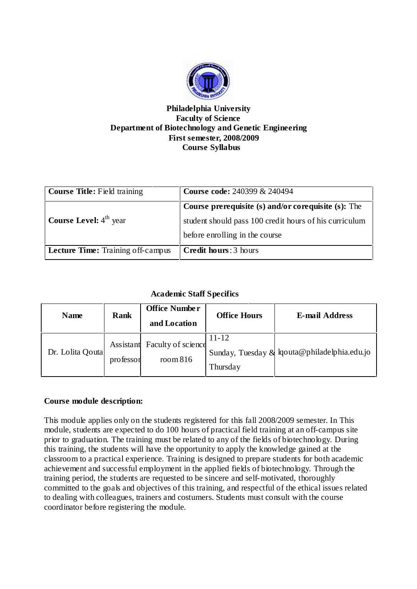

### **Philadelphia University Faculty of Science Department of Biotechnology and Genetic Engineering First semester, 2008/2009 Course Syllabus**

| <b>Course Title:</b> Field training      | <b>Course code: 240399 &amp; 240494</b>                |  |  |
|------------------------------------------|--------------------------------------------------------|--|--|
|                                          | Course prerequisite (s) and/or corequisite (s): The    |  |  |
| Course Level: 4 <sup>th</sup> year       | student should pass 100 credit hours of his curriculum |  |  |
|                                          | before enrolling in the course                         |  |  |
| <b>Lecture Time:</b> Training off-campus | <b>Credit hours: 3 hours</b>                           |  |  |

# **Academic Staff Specifics**

| <b>Name</b>      | <b>Rank</b> | <b>Office Number</b><br>and Location     | <b>Office Hours</b>   | <b>E-mail Address</b>                        |
|------------------|-------------|------------------------------------------|-----------------------|----------------------------------------------|
| Dr. Lolita Qouta | professor   | Assistant Faculty of science<br>room 816 | $11 - 12$<br>Thursday | Sunday, Tuesday & lqouta@philadelphia.edu.jo |

# **Course module description:**

This module applies only on the students registered for this fall 2008/2009 semester. In This module, students are expected to do 100 hours of practical field training at an off-campus site prior to graduation. The training must be related to any of the fields of biotechnology. During this training, the students will have the opportunity to apply the knowledge gained at the classroom to a practical experience. Training is designed to prepare students for both academic achievement and successful employment in the applied fields of biotechnology. Through the training period, the students are requested to be sincere and self-motivated, thoroughly committed to the goals and objectives of this training, and respectful of the ethical issues related to dealing with colleagues, trainers and costumers. Students must consult with the course coordinator before registering the module.